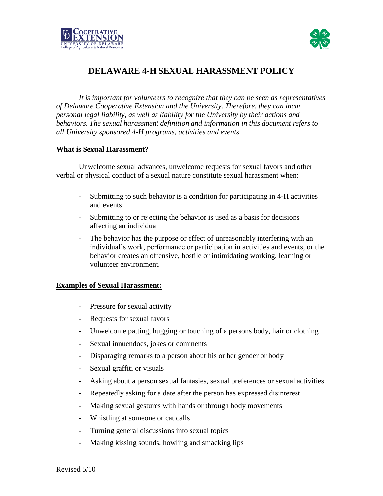



# **DELAWARE 4-H SEXUAL HARASSMENT POLICY**

*It is important for volunteers to recognize that they can be seen as representatives of Delaware Cooperative Extension and the University. Therefore, they can incur personal legal liability, as well as liability for the University by their actions and behaviors. The sexual harassment definition and information in this document refers to all University sponsored 4-H programs, activities and events.*

#### **What is Sexual Harassment?**

Unwelcome sexual advances, unwelcome requests for sexual favors and other verbal or physical conduct of a sexual nature constitute sexual harassment when:

- Submitting to such behavior is a condition for participating in 4-H activities and events
- Submitting to or rejecting the behavior is used as a basis for decisions affecting an individual
- The behavior has the purpose or effect of unreasonably interfering with an individual's work, performance or participation in activities and events, or the behavior creates an offensive, hostile or intimidating working, learning or volunteer environment.

## **Examples of Sexual Harassment:**

- Pressure for sexual activity
- Requests for sexual favors
- Unwelcome patting, hugging or touching of a persons body, hair or clothing
- Sexual innuendoes, jokes or comments
- Disparaging remarks to a person about his or her gender or body
- Sexual graffiti or visuals
- Asking about a person sexual fantasies, sexual preferences or sexual activities
- Repeatedly asking for a date after the person has expressed disinterest
- Making sexual gestures with hands or through body movements
- Whistling at someone or cat calls
- Turning general discussions into sexual topics
- Making kissing sounds, howling and smacking lips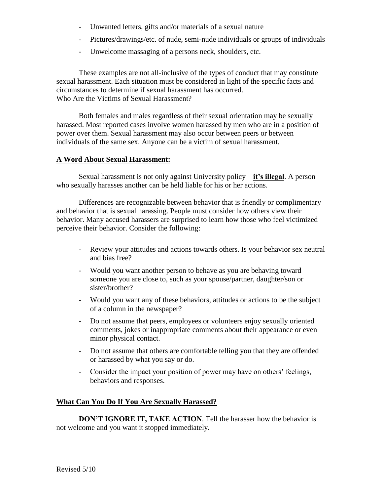- Unwanted letters, gifts and/or materials of a sexual nature
- Pictures/drawings/etc. of nude, semi-nude individuals or groups of individuals
- Unwelcome massaging of a persons neck, shoulders, etc.

These examples are not all-inclusive of the types of conduct that may constitute sexual harassment. Each situation must be considered in light of the specific facts and circumstances to determine if sexual harassment has occurred. Who Are the Victims of Sexual Harassment?

Both females and males regardless of their sexual orientation may be sexually harassed. Most reported cases involve women harassed by men who are in a position of power over them. Sexual harassment may also occur between peers or between individuals of the same sex. Anyone can be a victim of sexual harassment.

#### **A Word About Sexual Harassment:**

Sexual harassment is not only against University policy—**it's illegal**. A person who sexually harasses another can be held liable for his or her actions.

Differences are recognizable between behavior that is friendly or complimentary and behavior that is sexual harassing. People must consider how others view their behavior. Many accused harassers are surprised to learn how those who feel victimized perceive their behavior. Consider the following:

- Review your attitudes and actions towards others. Is your behavior sex neutral and bias free?
- Would you want another person to behave as you are behaving toward someone you are close to, such as your spouse/partner, daughter/son or sister/brother?
- Would you want any of these behaviors, attitudes or actions to be the subject of a column in the newspaper?
- Do not assume that peers, employees or volunteers enjoy sexually oriented comments, jokes or inappropriate comments about their appearance or even minor physical contact.
- Do not assume that others are comfortable telling you that they are offended or harassed by what you say or do.
- Consider the impact your position of power may have on others' feelings, behaviors and responses.

## **What Can You Do If You Are Sexually Harassed?**

**DON'T IGNORE IT, TAKE ACTION**. Tell the harasser how the behavior is not welcome and you want it stopped immediately.